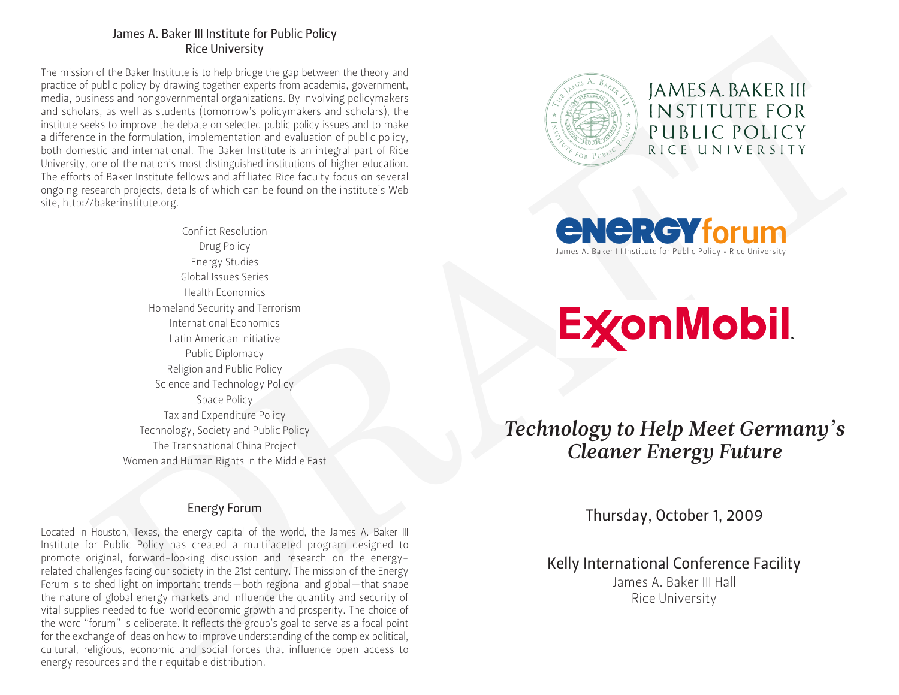## James A. Baker III Institute for Public Policy Rice University

The mission of the Baker Institute is to help bridge the gap between the theory and practice of public policy by drawing together experts from academia, government, media, business and nongovernmental organizations. By involving policymakers and scholars, as well as students (tomorrow's policymakers and scholars), the institute seeks to improve the debate on selected public policy issues and to make a difference in the formulation, implementation and evaluation of public policy, both domestic and international. The Baker Institute is an integral part of Rice University, one of the nation's most distinguished institutions of higher education. The efforts of Baker Institute fellows and affiliated Rice faculty focus on several ongoing research projects, details of which can be found on the institute's Web site, http://bakerinstitute.org.

2008 Solution and the main term of the control of the particular control of the state of the state of the control of the state of the control of the control of the control of the control of the control of the control of Conflict Resolution Drug Policy Energy Studies Global Issues Series Health Economics Homeland Security and Terrorism International Economics Latin American Initiative Public Diplomacy Religion and Public Policy Science and Technology Policy Space Policy Tax and Expenditure Policy Technology, Society and Public Policy The Transnational China Project Women and Human Rights in the Middle East

# Energy Forum

Located in Houston, Texas, the energy capital of the world, the James A. Baker III Institute for Public Policy has created a multifaceted program designed to promote original, forward-looking discussion and research on the energyrelated challenges facing our society in the 21st century. The mission of the Energy Forum is to shed light on important trends—both regional and global—that shape the nature of global energy markets and influence the quantity and security of vital supplies needed to fuel world economic growth and prosperity. The choice of the word "forum" is deliberate. It reflects the group's goal to serve as a focal point for the exchange of ideas on how to improve understanding of the complex political, cultural, religious, economic and social forces that influence open access to energy resources and their equitable distribution.



James A. Baker III Institute for Public Policy • Rice University **ENERGYforum** 

*Technology to Help Meet Germany's Cleaner Energy Future*

Thursday, October 1, 2009

Kelly International Conference Facility

James A. Baker III Hall Rice University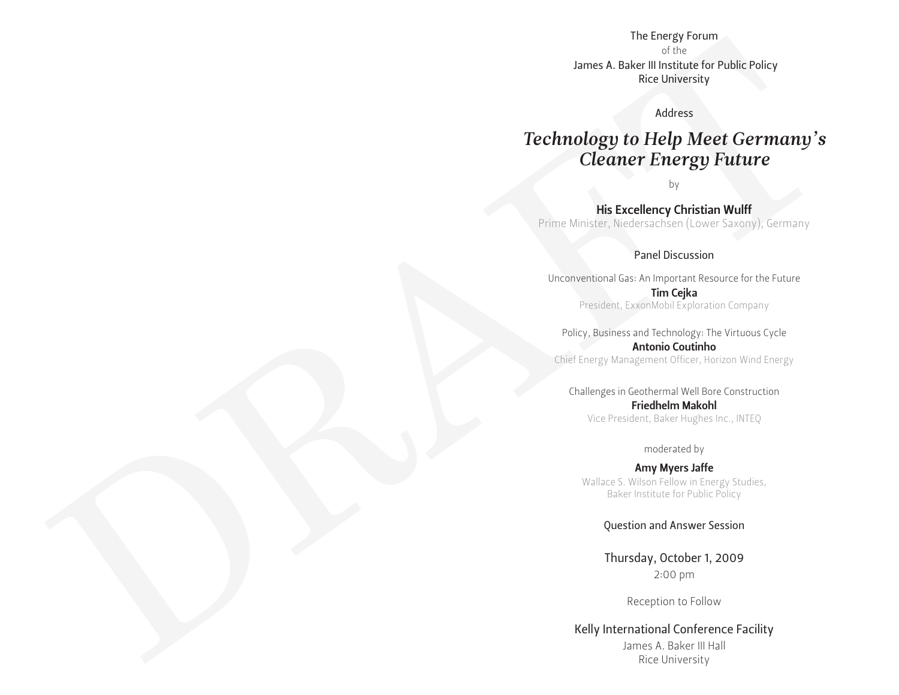of the James A. Baker III Institute for Public Policy Rice University

## Address

# The benefits of the benefits of the state of the state of the state of the state of the state of the state of the state of the state of the state of the state of the state of the state of the state of the state of the sta *Technology to Help Meet Germany's Cleaner Energy Future*

by

His Excellency Christian Wulff Prime Minister, Niedersachsen (Lower Saxony), Germany

## Panel Discussion

Unconventional Gas: An Important Resource for the Future Tim Cejka President, ExxonMobil Exploration Company

Policy, Business and Technology: The Virtuous Cycle Antonio Coutinho Chief Energy Management Officer, Horizon Wind Energy

Challenges in Geothermal Well Bore Construction Friedhelm Makohl Vice President, Baker Hughes Inc., INTEQ

#### moderated by

Amy Myers Jaffe Wallace S. Wilson Fellow in Energy Studies, Baker Institute for Public Policy

Question and Answer Session

Thursday, October 1, 2009 2:00 pm

Reception to Follow

Kelly International Conference Facility

James A. Baker III Hall Rice University